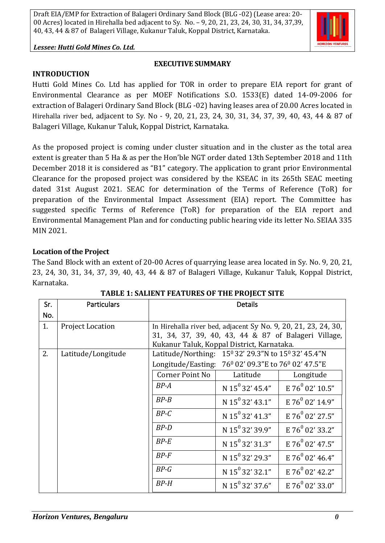*Lessee: Hutti Gold Mines Co. Ltd.*

#### **EXECUTIVE SUMMARY**

**INTRODUCTION**

Hutti Gold Mines Co. Ltd has applied for TOR in order to prepare EIA report for grant of Environmental Clearance as per MOEF Notifications S.O. 1533(E) dated 14-09-2006 for extraction of Balageri Ordinary Sand Block (BLG -02) having leases area of 20.00 Acres located in Hirehalla river bed, adjacent to Sy. No - 9, 20, 21, 23, 24, 30, 31, 34, 37, 39, 40, 43, 44 & 87 of Balageri Village, Kukanur Taluk, Koppal District, Karnataka.

As the proposed project is coming under cluster situation and in the cluster as the total area extent is greater than 5 Ha & as per the Hon'ble NGT order dated 13th September 2018 and 11th December 2018 it is considered as "B1" category. The application to grant prior Environmental Clearance for the proposed project was considered by the KSEAC in its 265th SEAC meeting dated 31st August 2021. SEAC for determination of the Terms of Reference (ToR) for preparation of the Environmental Impact Assessment (EIA) report. The Committee has suggested specific Terms of Reference (ToR) for preparation of the EIA report and Environmental Management Plan and for conducting public hearing vide its letter No. SEIAA 335 MIN 2021.

# **Location of the Project**

The Sand Block with an extent of 20-00 Acres of quarrying lease area located in Sy. No. 9, 20, 21, 23, 24, 30, 31, 34, 37, 39, 40, 43, 44 & 87 of Balageri Village, Kukanur Taluk, Koppal District, Karnataka.

| Sr. | <b>Particulars</b>      | <b>Details</b>                                                 |                             |                               |  |  |
|-----|-------------------------|----------------------------------------------------------------|-----------------------------|-------------------------------|--|--|
| No. |                         |                                                                |                             |                               |  |  |
| 1.  | <b>Project Location</b> | In Hirehalla river bed, adjacent Sy No. 9, 20, 21, 23, 24, 30, |                             |                               |  |  |
|     |                         | 31, 34, 37, 39, 40, 43, 44 & 87 of Balageri Village,           |                             |                               |  |  |
|     |                         | Kukanur Taluk, Koppal District, Karnataka.                     |                             |                               |  |  |
| 2.  | Latitude/Longitude      | Latitude/Northing: 150 32' 29.3"N to 150 32' 45.4"N            |                             |                               |  |  |
|     |                         | Longitude/Easting: 76º 02' 09.3"E to 76º 02' 47.5"E            |                             |                               |  |  |
|     |                         | Corner Point No                                                | Latitude                    | Longitude                     |  |  |
|     |                         | $BP-A$                                                         | N 15 <sup>0</sup> 32' 45.4" | $E76^{0}$ 02' 10.5"           |  |  |
|     |                         | $BP - B$                                                       | N $15^{0}$ 32' 43.1"        | $E$ 76 <sup>0</sup> 02' 14.9" |  |  |
|     |                         | $BP-C$                                                         | N $15^{0}$ 32' 41.3"        | E 76 <sup>0</sup> 02' 27.5"   |  |  |
|     |                         | $BP-D$                                                         | N 15 <sup>0</sup> 32' 39.9" | $E76^{0}$ 02' 33.2"           |  |  |
|     |                         | $BP-E$                                                         | N 15 <sup>0</sup> 32' 31.3" | $E$ 76 <sup>0</sup> 02' 47.5" |  |  |
|     |                         | $BP-F$                                                         | N $15^{0}$ 32' 29.3"        | E 76 $^{0}$ 02' 46.4"         |  |  |
|     |                         | $BP-G$                                                         | N 15 <sup>0</sup> 32' 32.1" | E 76 <sup>0</sup> 02' 42.2"   |  |  |
|     |                         | $BP-H$                                                         | N 15 <sup>0</sup> 32' 37.6" | E 76 <sup>0</sup> 02' 33.0"   |  |  |

#### **TABLE 1: SALIENT FEATURES OF THE PROJECT SITE**

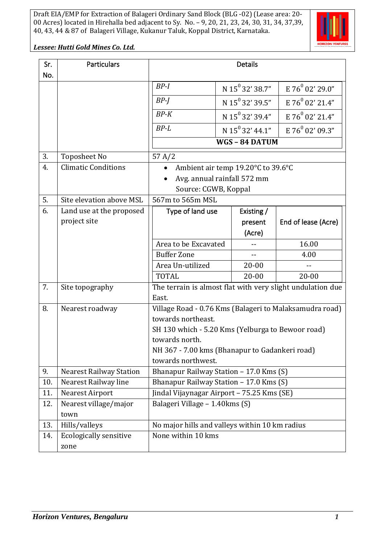

*Lessee: Hutti Gold Mines Co. Ltd.*

| Sr.        | <b>Particulars</b>                      | <b>Details</b>                                                                |  |                             |                       |
|------------|-----------------------------------------|-------------------------------------------------------------------------------|--|-----------------------------|-----------------------|
| No.        |                                         |                                                                               |  |                             |                       |
|            |                                         | $BP-I$                                                                        |  | N $15^{\circ}$ 32' 38.7"    | $E 76^0 02' 29.0''$   |
|            |                                         | $BP-I$                                                                        |  | N $15^0$ 32' 39.5"          | $E76^{0}$ 02' 21.4"   |
|            |                                         | $BP-K$                                                                        |  | N $15^{\circ}$ 32' 39.4"    | $E76^{0}$ 02' 21.4"   |
|            |                                         | $BP-L$                                                                        |  | N 15 <sup>0</sup> 32' 44.1" | E 76 $^{0}$ 02' 09.3" |
|            |                                         | WGS-84 DATUM                                                                  |  |                             |                       |
| 3.         | Toposheet No                            | 57 A/2                                                                        |  |                             |                       |
| 4.         | <b>Climatic Conditions</b>              | Ambient air temp 19.20°C to 39.6°C                                            |  |                             |                       |
|            |                                         | Avg. annual rainfall 572 mm                                                   |  |                             |                       |
|            |                                         | Source: CGWB, Koppal                                                          |  |                             |                       |
| 5.         | Site elevation above MSL                | 567m to 565m MSL                                                              |  |                             |                       |
| 6.         | Land use at the proposed                | Type of land use                                                              |  | Existing /                  |                       |
|            | project site                            |                                                                               |  | present                     | End of lease (Acre)   |
|            |                                         |                                                                               |  | (Acre)                      |                       |
|            |                                         | Area to be Excavated                                                          |  |                             | 16.00                 |
|            |                                         | <b>Buffer Zone</b>                                                            |  |                             | 4.00                  |
|            |                                         | Area Un-utilized                                                              |  | $20 - 00$                   |                       |
|            |                                         | <b>TOTAL</b>                                                                  |  | $20 - 00$                   | $20 - 00$             |
| 7.         | Site topography                         | The terrain is almost flat with very slight undulation due                    |  |                             |                       |
|            |                                         | East.                                                                         |  |                             |                       |
| 8.         | Nearest roadway                         | Village Road - 0.76 Kms (Balageri to Malaksamudra road)                       |  |                             |                       |
|            |                                         | towards northeast.                                                            |  |                             |                       |
|            |                                         | SH 130 which - 5.20 Kms (Yelburga to Bewoor road)                             |  |                             |                       |
|            |                                         | towards north.                                                                |  |                             |                       |
|            |                                         | NH 367 - 7.00 kms (Bhanapur to Gadankeri road)                                |  |                             |                       |
|            |                                         | towards northwest.                                                            |  |                             |                       |
| 9.         | <b>Nearest Railway Station</b>          | Bhanapur Railway Station - 17.0 Kms (S)                                       |  |                             |                       |
| 10.<br>11. | Nearest Railway line<br>Nearest Airport | Bhanapur Railway Station - 17.0 Kms (S)                                       |  |                             |                       |
| 12.        | Nearest village/major                   | Jindal Vijaynagar Airport - 75.25 Kms (SE)<br>Balageri Village - 1.40 kms (S) |  |                             |                       |
|            | town                                    |                                                                               |  |                             |                       |
| 13.        | Hills/valleys                           | No major hills and valleys within 10 km radius                                |  |                             |                       |
| 14.        | <b>Ecologically sensitive</b><br>zone   | None within 10 kms                                                            |  |                             |                       |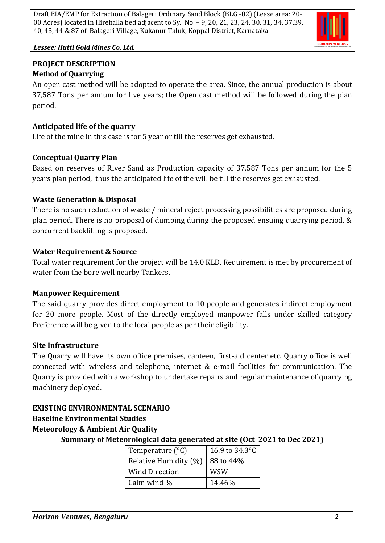

*Lessee: Hutti Gold Mines Co. Ltd.*

# **PROJECT DESCRIPTION Method of Quarrying**

An open cast method will be adopted to operate the area. Since, the annual production is about 37,587 Tons per annum for five years; the Open cast method will be followed during the plan period.

# **Anticipated life of the quarry**

Life of the mine in this case is for 5 year or till the reserves get exhausted.

# **Conceptual Quarry Plan**

Based on reserves of River Sand as Production capacity of 37,587 Tons per annum for the 5 years plan period, thus the anticipated life of the will be till the reserves get exhausted.

# **Waste Generation & Disposal**

There is no such reduction of waste / mineral reject processing possibilities are proposed during plan period. There is no proposal of dumping during the proposed ensuing quarrying period, & concurrent backfilling is proposed.

# **Water Requirement & Source**

Total water requirement for the project will be 14.0 KLD, Requirement is met by procurement of water from the bore well nearby Tankers.

# **Manpower Requirement**

The said quarry provides direct employment to 10 people and generates indirect employment for 20 more people. Most of the directly employed manpower falls under skilled category Preference will be given to the local people as per their eligibility.

# **Site Infrastructure**

The Quarry will have its own office premises, canteen, first-aid center etc. Quarry office is well connected with wireless and telephone, internet & e-mail facilities for communication. The Quarry is provided with a workshop to undertake repairs and regular maintenance of quarrying machinery deployed.

# **EXISTING ENVIRONMENTAL SCENARIO**

# **Baseline Environmental Studies**

# **Meteorology & Ambient Air Quality**

**Summary of Meteorological data generated at site (Oct 2021 to Dec 2021)**

| Temperature $(^{\circ}C)$ | 16.9 to 34.3°C |  |  |
|---------------------------|----------------|--|--|
| Relative Humidity (%)     | 88 to 44%      |  |  |
| <b>Wind Direction</b>     | <b>WSW</b>     |  |  |
| Calm wind %               | 14.46%         |  |  |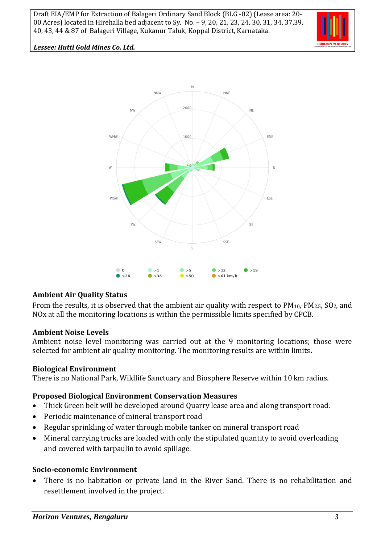

#### *Lessee: Hutti Gold Mines Co. Ltd.*



#### **Ambient Air Quality Status**

From the results, it is observed that the ambient air quality with respect to PM<sub>10</sub>, PM<sub>2.5</sub>, SO<sub>2</sub>, and NOx at all the monitoring locations is within the permissible limits specified by CPCB.

#### **Ambient Noise Levels**

Ambient noise level monitoring was carried out at the 9 monitoring locations; those were selected for ambient air quality monitoring. The monitoring results are within limits**.**

#### **Biological Environment**

There is no National Park, Wildlife Sanctuary and Biosphere Reserve within 10 km radius.

#### **Proposed Biological Environment Conservation Measures**

- Thick Green belt will be developed around Quarry lease area and along transport road.
- Periodic maintenance of mineral transport road
- Regular sprinkling of water through mobile tanker on mineral transport road
- Mineral carrying trucks are loaded with only the stipulated quantity to avoid overloading and covered with tarpaulin to avoid spillage.

#### **Socio-economic Environment**

There is no habitation or private land in the River Sand. There is no rehabilitation and resettlement involved in the project.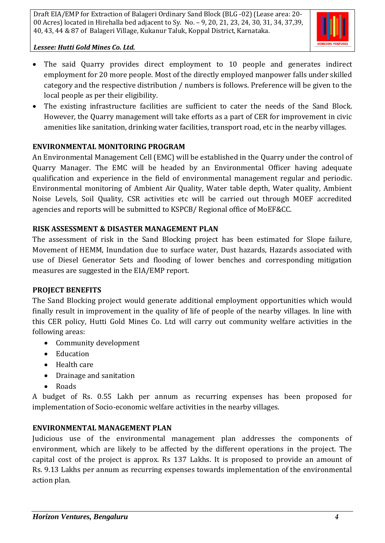

### *Lessee: Hutti Gold Mines Co. Ltd.*

- The said Quarry provides direct employment to 10 people and generates indirect employment for 20 more people. Most of the directly employed manpower falls under skilled category and the respective distribution / numbers is follows. Preference will be given to the local people as per their eligibility.
- The existing infrastructure facilities are sufficient to cater the needs of the Sand Block. However, the Quarry management will take efforts as a part of CER for improvement in civic amenities like sanitation, drinking water facilities, transport road, etc in the nearby villages.

# **ENVIRONMENTAL MONITORING PROGRAM**

An Environmental Management Cell (EMC) will be established in the Quarry under the control of Quarry Manager. The EMC will be headed by an Environmental Officer having adequate qualification and experience in the field of environmental management regular and periodic. Environmental monitoring of Ambient Air Quality, Water table depth, Water quality, Ambient Noise Levels, Soil Quality, CSR activities etc will be carried out through MOEF accredited agencies and reports will be submitted to KSPCB/ Regional office of MoEF&CC.

# **RISK ASSESSMENT & DISASTER MANAGEMENT PLAN**

The assessment of risk in the Sand Blocking project has been estimated for Slope failure, Movement of HEMM, Inundation due to surface water, Dust hazards, Hazards associated with use of Diesel Generator Sets and flooding of lower benches and corresponding mitigation measures are suggested in the EIA/EMP report.

# **PROJECT BENEFITS**

The Sand Blocking project would generate additional employment opportunities which would finally result in improvement in the quality of life of people of the nearby villages. In line with this CER policy, Hutti Gold Mines Co. Ltd will carry out community welfare activities in the following areas:

- Community development
- Education
- Health care
- Drainage and sanitation
- Roads

A budget of Rs. 0.55 Lakh per annum as recurring expenses has been proposed for implementation of Socio-economic welfare activities in the nearby villages.

# **ENVIRONMENTAL MANAGEMENT PLAN**

Judicious use of the environmental management plan addresses the components of environment, which are likely to be affected by the different operations in the project. The capital cost of the project is approx. Rs 137 Lakhs. It is proposed to provide an amount of Rs. 9.13 Lakhs per annum as recurring expenses towards implementation of the environmental action plan.